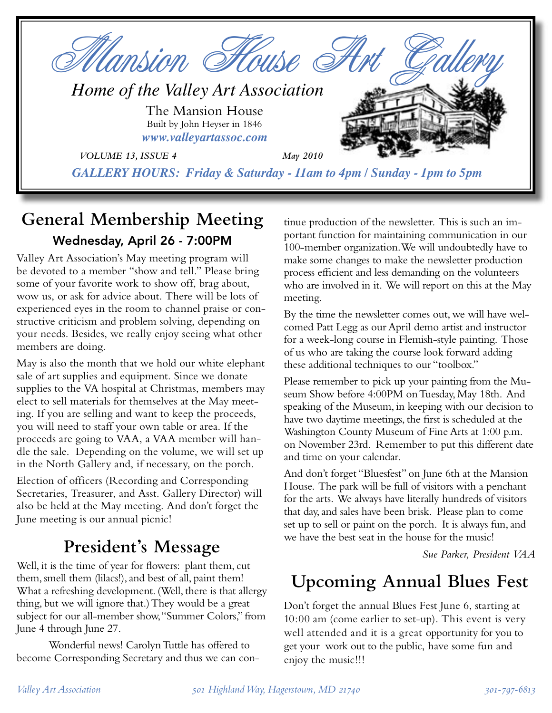

## **General Membership Meeting** Wednesday, April 26 - 7:00PM

Valley Art Association's May meeting program will be devoted to a member "show and tell." Please bring some of your favorite work to show off, brag about, wow us, or ask for advice about. There will be lots of experienced eyes in the room to channel praise or constructive criticism and problem solving, depending on your needs. Besides, we really enjoy seeing what other members are doing.

May is also the month that we hold our white elephant sale of art supplies and equipment. Since we donate supplies to the VA hospital at Christmas, members may elect to sell materials for themselves at the May meeting. If you are selling and want to keep the proceeds, you will need to staff your own table or area. If the proceeds are going to VAA, a VAA member will handle the sale. Depending on the volume, we will set up in the North Gallery and, if necessary, on the porch.

Election of officers (Recording and Corresponding Secretaries, Treasurer, and Asst. Gallery Director) will also be held at the May meeting. And don't forget the June meeting is our annual picnic!

# **President's Message**

Well, it is the time of year for flowers: plant them, cut them, smell them (lilacs!), and best of all, paint them! What a refreshing development. (Well, there is that allergy thing, but we will ignore that.) They would be a great subject for our all-member show, "Summer Colors," from June 4 through June 27.

 Wonderful news! Carolyn Tuttle has offered to become Corresponding Secretary and thus we can con-

tinue production of the newsletter. This is such an important function for maintaining communication in our 100-member organization. We will undoubtedly have to make some changes to make the newsletter production process efficient and less demanding on the volunteers who are involved in it. We will report on this at the May meeting.

By the time the newsletter comes out, we will have welcomed Patt Legg as our April demo artist and instructor for a week-long course in Flemish-style painting. Those of us who are taking the course look forward adding these additional techniques to our "toolbox."

Please remember to pick up your painting from the Museum Show before 4:00PM on Tuesday, May 18th. And speaking of the Museum, in keeping with our decision to have two daytime meetings, the first is scheduled at the Washington County Museum of Fine Arts at 1:00 p.m. on November 23rd. Remember to put this different date and time on your calendar.

And don't forget "Bluesfest" on June 6th at the Mansion House. The park will be full of visitors with a penchant for the arts. We always have literally hundreds of visitors that day, and sales have been brisk. Please plan to come set up to sell or paint on the porch. It is always fun, and we have the best seat in the house for the music!

*Sue Parker, President VAA*

# **Upcoming Annual Blues Fest**

Don't forget the annual Blues Fest June 6, starting at 10:00 am (come earlier to set-up). This event is very well attended and it is a great opportunity for you to get your work out to the public, have some fun and enjoy the music!!!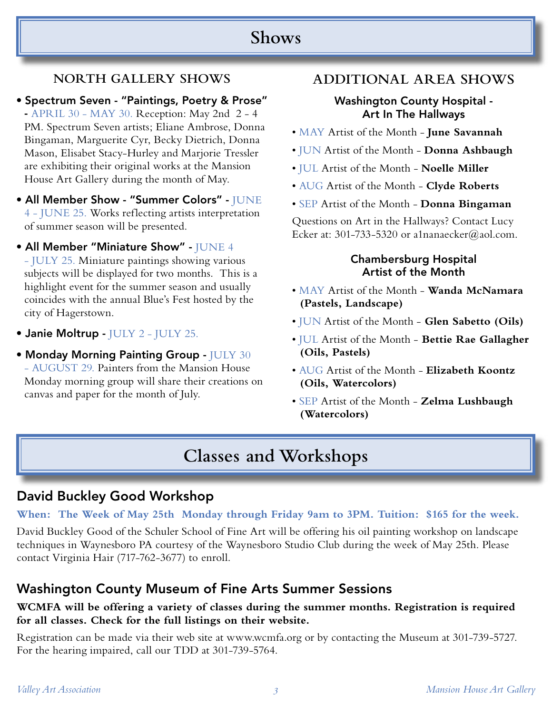## **Shows**

### **NORTH GALLERY SHOWS**

• Spectrum Seven - "Paintings, Poetry & Prose" - APRIL 30 - MAY 30. Reception: May 2nd 2 - 4 PM. Spectrum Seven artists; Eliane Ambrose, Donna Bingaman, Marguerite Cyr, Becky Dietrich, Donna Mason, Elisabet Stacy-Hurley and Marjorie Tressler are exhibiting their original works at the Mansion House Art Gallery during the month of May.

- All Member Show "Summer Colors" JUNE 4 - JUNE 25. Works reflecting artists interpretation of summer season will be presented.
- All Member "Miniature Show" JUNE 4 - JULY 25. Miniature paintings showing various subjects will be displayed for two months. This is a highlight event for the summer season and usually coincides with the annual Blue's Fest hosted by the city of Hagerstown.
- Janie Moltrup JULY 2 JULY 25.
- Monday Morning Painting Group JULY 30 - AUGUST 29. Painters from the Mansion House Monday morning group will share their creations on canvas and paper for the month of July.

#### **ADDITIONAL AREA SHOWS**

#### Washington County Hospital - Art In The Hallways

- MAY Artist of the Month **June Savannah**
- JUN Artist of the Month **Donna Ashbaugh**
- JUL Artist of the Month **Noelle Miller**
- AUG Artist of the Month **Clyde Roberts**
- SEP Artist of the Month **Donna Bingaman**

Questions on Art in the Hallways? Contact Lucy Ecker at: 301-733-5320 or a1nanaecker@aol.com.

#### Chambersburg Hospital Artist of the Month

- MAY Artist of the Month **Wanda McNamara (Pastels, Landscape)**
- JUN Artist of the Month - **Glen Sabetto (Oils)**
- JUL Artist of the Month **Bettie Rae Gallagher (Oils, Pastels)**
- AUG Artist of the Month **Elizabeth Koontz (Oils, Watercolors)**
- SEP Artist of the Month **Zelma Lushbaugh (Watercolors)**

# **Classes and Workshops**

### David Buckley Good Workshop

**When: The Week of May 25th Monday through Friday 9am to 3PM. Tuition: \$165 for the week.**

David Buckley Good of the Schuler School of Fine Art will be offering his oil painting workshop on landscape techniques in Waynesboro PA courtesy of the Waynesboro Studio Club during the week of May 25th. Please contact Virginia Hair (717-762-3677) to enroll.

### Washington County Museum of Fine Arts Summer Sessions

#### **WCMFA will be offering a variety of classes during the summer months. Registration is required for all classes. Check for the full listings on their website.**

Registration can be made via their web site at www.wcmfa.org or by contacting the Museum at 301-739-5727. For the hearing impaired, call our TDD at 301-739-5764.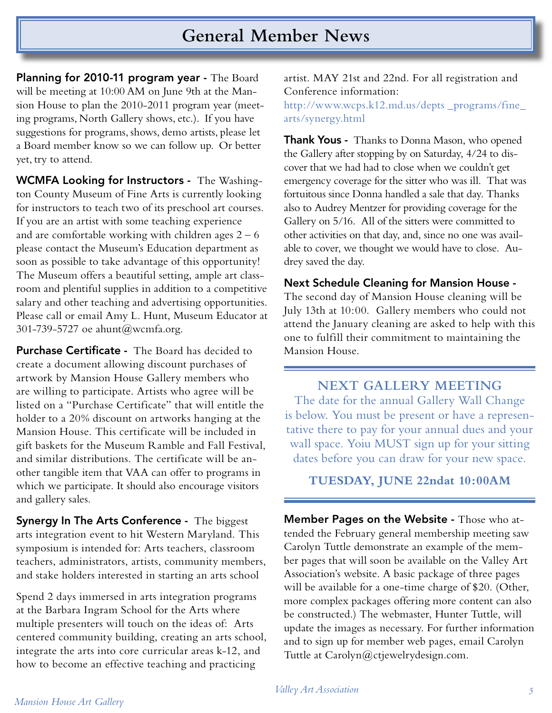## **General Member News**

Planning for 2010-11 program year - The Board will be meeting at 10:00 AM on June 9th at the Mansion House to plan the 2010-2011 program year (meeting programs, North Gallery shows, etc.). If you have suggestions for programs, shows, demo artists, please let a Board member know so we can follow up. Or better yet, try to attend.

WCMFA Looking for Instructors - The Washington County Museum of Fine Arts is currently looking for instructors to teach two of its preschool art courses. If you are an artist with some teaching experience and are comfortable working with children ages  $2 - 6$ please contact the Museum's Education department as soon as possible to take advantage of this opportunity! The Museum offers a beautiful setting, ample art classroom and plentiful supplies in addition to a competitive salary and other teaching and advertising opportunities. Please call or email Amy L. Hunt, Museum Educator at 301-739-5727 oe ahunt@wcmfa.org.

Purchase Certificate - The Board has decided to create a document allowing discount purchases of artwork by Mansion House Gallery members who are willing to participate. Artists who agree will be listed on a "Purchase Certificate" that will entitle the holder to a 20% discount on artworks hanging at the Mansion House. This certificate will be included in gift baskets for the Museum Ramble and Fall Festival, and similar distributions. The certificate will be another tangible item that VAA can offer to programs in which we participate. It should also encourage visitors and gallery sales.

**Synergy In The Arts Conference -** The biggest arts integration event to hit Western Maryland. This symposium is intended for: Arts teachers, classroom teachers, administrators, artists, community members, and stake holders interested in starting an arts school

Spend 2 days immersed in arts integration programs at the Barbara Ingram School for the Arts where multiple presenters will touch on the ideas of: Arts centered community building, creating an arts school, integrate the arts into core curricular areas k-12, and how to become an effective teaching and practicing

artist. MAY 21st and 22nd. For all registration and Conference information:

http://www.wcps.k12.md.us/depts \_programs/fine\_ arts/synergy.html

**Thank Yous -** Thanks to Donna Mason, who opened the Gallery after stopping by on Saturday, 4/24 to discover that we had had to close when we couldn't get emergency coverage for the sitter who was ill. That was fortuitous since Donna handled a sale that day. Thanks also to Audrey Mentzer for providing coverage for the Gallery on 5/16. All of the sitters were committed to other activities on that day, and, since no one was available to cover, we thought we would have to close. Audrey saved the day.

Next Schedule Cleaning for Mansion House - The second day of Mansion House cleaning will be July 13th at 10:00. Gallery members who could not attend the January cleaning are asked to help with this one to fulfill their commitment to maintaining the Mansion House.

**NEXT GALLERY MEETING** The date for the annual Gallery Wall Change is below. You must be present or have a representative there to pay for your annual dues and your wall space. Yoiu MUST sign up for your sitting dates before you can draw for your new space.

**TUESDAY, JUNE 22ndat 10:00AM**

Member Pages on the Website - Those who attended the February general membership meeting saw Carolyn Tuttle demonstrate an example of the member pages that will soon be available on the Valley Art Association's website. A basic package of three pages will be available for a one-time charge of \$20. (Other, more complex packages offering more content can also be constructed.) The webmaster, Hunter Tuttle, will update the images as necessary. For further information and to sign up for member web pages, email Carolyn Tuttle at Carolyn@ctjewelrydesign.com.